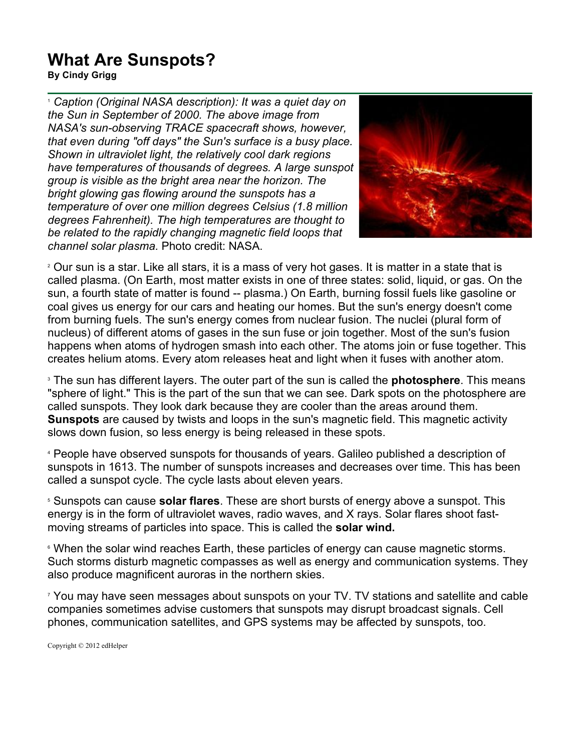## **What Are Sunspots?**

**By Cindy Grigg**

<sup>1</sup> *Caption (Original NASA description): It was a quiet day on the Sun in September of 2000. The above image from NASA's sun-observing TRACE spacecraft shows, however, that even during "off days" the Sun's surface is a busy place. Shown in ultraviolet light, the relatively cool dark regions have temperatures of thousands of degrees. A large sunspot group is visible as the bright area near the horizon. The bright glowing gas flowing around the sunspots has a temperature of over one million degrees Celsius (1.8 million degrees Fahrenheit). The high temperatures are thought to be related to the rapidly changing magnetic field loops that channel solar plasma.* Photo credit: NASA.



<sup>2</sup> Our sun is a star. Like all stars, it is a mass of very hot gases. It is matter in a state that is called plasma. (On Earth, most matter exists in one of three states: solid, liquid, or gas. On the sun, a fourth state of matter is found -- plasma.) On Earth, burning fossil fuels like gasoline or coal gives us energy for our cars and heating our homes. But the sun's energy doesn't come from burning fuels. The sun's energy comes from nuclear fusion. The nuclei (plural form of nucleus) of different atoms of gases in the sun fuse or join together. Most of the sun's fusion happens when atoms of hydrogen smash into each other. The atoms join or fuse together. This creates helium atoms. Every atom releases heat and light when it fuses with another atom.

<sup>3</sup> The sun has different layers. The outer part of the sun is called the **photosphere**. This means "sphere of light." This is the part of the sun that we can see. Dark spots on the photosphere are called sunspots. They look dark because they are cooler than the areas around them. **Sunspots** are caused by twists and loops in the sun's magnetic field. This magnetic activity slows down fusion, so less energy is being released in these spots.

<sup>4</sup> People have observed sunspots for thousands of years. Galileo published a description of sunspots in 1613. The number of sunspots increases and decreases over time. This has been called a sunspot cycle. The cycle lasts about eleven years.

<sup>5</sup> Sunspots can cause **solar flares**. These are short bursts of energy above a sunspot. This energy is in the form of ultraviolet waves, radio waves, and X rays. Solar flares shoot fastmoving streams of particles into space. This is called the **solar wind.** 

<sup>6</sup> When the solar wind reaches Earth, these particles of energy can cause magnetic storms. Such storms disturb magnetic compasses as well as energy and communication systems. They also produce magnificent auroras in the northern skies.

<sup>7</sup> You may have seen messages about sunspots on your TV. TV stations and satellite and cable companies sometimes advise customers that sunspots may disrupt broadcast signals. Cell phones, communication satellites, and GPS systems may be affected by sunspots, too.

Copyright © 2012 edHelper